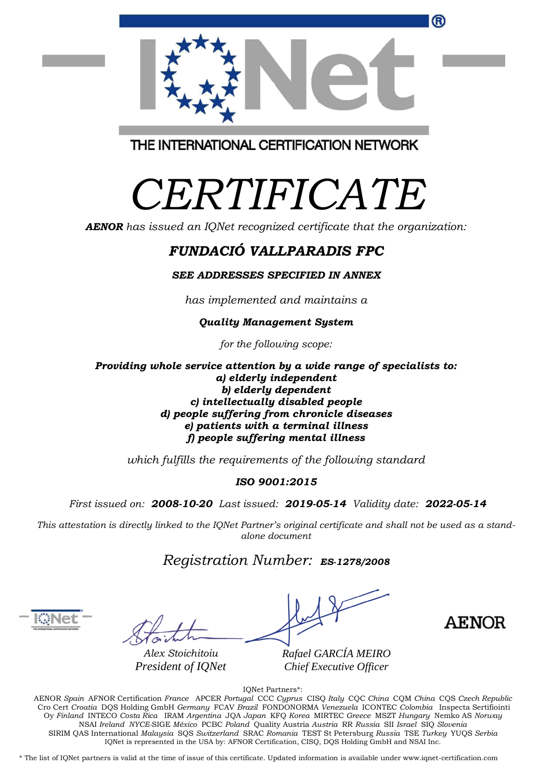THE INTERNATIONAL CERTIFICATION NETWORK

## *CERTIFICATE*

*AENOR has issued an IQNet recognized certificate that the organization:*

## *FUNDACIÓ VALLPARADIS FPC*

*SEE ADDRESSES SPECIFIED IN ANNEX*

*has implemented and maintains a*

## *Quality Management System*

*for the following scope:* 

*Providing whole service attention by a wide range of specialists to: a) elderly independent b) elderly dependent c) intellectually disabled people d) people suffering from chronicle diseases e) patients with a terminal illness f) people suffering mental illness*

*which fulfills the requirements of the following standard*

## *ISO 9001:2015*

*First issued on: 2008-10-20 Last issued: 2019-05-14 Validity date: 2022-05-14*

*This attestation is directly linked to the IQNet Partner's original certificate and shall not be used as a standalone document*

*Registration Number: ES-1278/2008*

*Alex Stoichitoiu President of IQNet*

**AENOR** 

*Rafael GARCÍA MEIRO Chief Executive Officer*

IQNet Partners\*:

AENOR *Spain* AFNOR Certification *France* APCER *Portugal* CCC *Cyprus* CISQ *Italy* CQC *China* CQM *China* CQS *Czech Republic* Cro Cert *Croatia* DQS Holding GmbH *Germany* FCAV *Brazil* FONDONORMA *Venezuela* ICONTEC *Colombia* Inspecta Sertifiointi Oy *Finland* INTECO *Costa Rica* IRAM *Argentina* JQA *Japan* KFQ *Korea* MIRTEC *Greece* MSZT *Hungary* Nemko AS *Norway*  NSAI *Ireland NYCE-*SIGE *México* PCBC *Poland* Quality Austria *Austria* RR *Russia* SII *Israel* SIQ *Slovenia*  SIRIM QAS International *Malaysia* SQS *Switzerland* SRAC *Romania* TEST St Petersburg *Russia* TSE *Turkey* YUQS *Serbia* IQNet is represented in the USA by: AFNOR Certification, CISQ, DQS Holding GmbH and NSAI Inc.

\* The list of IQNet partners is valid at the time of issue of this certificate. Updated information is available under www.iqnet-certification.com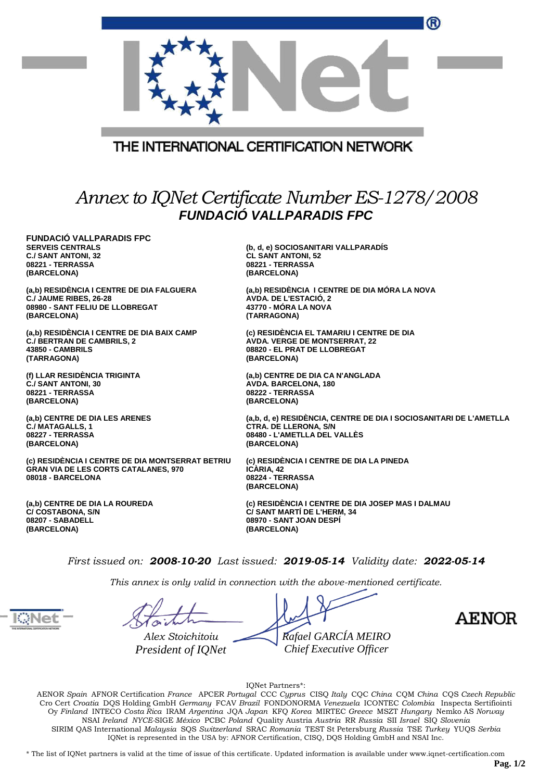| THE INTERNATIONAL CERTIFICATION NETWORK        |  |
|------------------------------------------------|--|
| Annex to IQNet Certificate Number ES-1278/2008 |  |
| <b>VALLPARADIS FPC</b>                         |  |

**FUNDACIÓ SERVEIS CENTRALS C./ SANT ANTONI, 32 08221 - TERRASSA (BARCELONA)**

**(a,b) RESIDÈNCIA I CENTRE DE DIA FALGUERA C./ JAUME RIBES, 26-28 08980 - SANT FELIU DE LLOBREGAT (BARCELONA)**

**(a,b) RESIDÈNCIA I CENTRE DE DIA BAIX CAMP C./ BERTRAN DE CAMBRILS, 2 43850 - CAMBRILS (TARRAGONA)**

**(f) LLAR RESIDÈNCIA TRIGINTA C./ SANT ANTONI, 30 08221 - TERRASSA (BARCELONA)**

**(a,b) CENTRE DE DIA LES ARENES C./ MATAGALLS, 1 08227 - TERRASSA (BARCELONA)**

**(c) RESIDÈNCIA I CENTRE DE DIA MONTSERRAT BETRIU GRAN VIA DE LES CORTS CATALANES, 970 08018 - BARCELONA**

**(a,b) CENTRE DE DIA LA ROUREDA C/ COSTABONA, S/N 08207 - SABADELL (BARCELONA)**

**(b, d, e) SOCIOSANITARI VALLPARADÍS CL SANT ANTONI, 52 08221 - TERRASSA (BARCELONA)**

**(a,b) RESIDÈNCIA I CENTRE DE DIA MÓRA LA NOVA AVDA. DE L'ESTACIÓ, 2 43770 - MÓRA LA NOVA (TARRAGONA)**

**(c) RESIDÈNCIA EL TAMARIU I CENTRE DE DIA AVDA. VERGE DE MONTSERRAT, 22 08820 - EL PRAT DE LLOBREGAT (BARCELONA)**

**(a,b) CENTRE DE DIA CA N'ANGLADA AVDA. BARCELONA, 180 08222 - TERRASSA (BARCELONA)**

**(a,b, d, e) RESIDÈNCIA, CENTRE DE DIA I SOCIOSANITARI DE L'AMETLLA CTRA. DE LLERONA, S/N 08480 - L'AMETLLA DEL VALLÈS (BARCELONA)**

**(c) RESIDÈNCIA I CENTRE DE DIA LA PINEDA ICÀRIA, 42 08224 - TERRASSA (BARCELONA)**

**(c) RESIDÈNCIA I CENTRE DE DIA JOSEP MAS I DALMAU C/ SANT MARTÍ DE L'HERM, 34 08970 - SANT JOAN DESPÍ (BARCELONA)**

*First issued on: 2008-10-20 Last issued: 2019-05-14 Validity date: 2022-05-14*

*This annex is only valid in connection with the above-mentioned certificate.*

*Alex Stoichitoiu President of IQNet Rafael GARCÍA MEIRO Chief Executive Officer*

**AENOR** 

IQNet Partners\*:

AENOR *Spain* AFNOR Certification *France* APCER *Portugal* CCC *Cyprus* CISQ *Italy* CQC *China* CQM *China* CQS *Czech Republic*  Cro Cert *Croatia* DQS Holding GmbH *Germany* FCAV *Brazil* FONDONORMA *Venezuela* ICONTEC *Colombia* Inspecta Sertifiointi Oy *Finland* INTECO *Costa Rica* IRAM *Argentina* JQA *Japan* KFQ *Korea* MIRTEC *Greece* MSZT *Hungary* Nemko AS *Norway*  NSAI *Ireland NYCE-*SIGE *México* PCBC *Poland* Quality Austria *Austria* RR *Russia* SII *Israel* SIQ *Slovenia*  SIRIM QAS International *Malaysia* SQS *Switzerland* SRAC *Romania* TEST St Petersburg *Russia* TSE *Turkey* YUQS *Serbia* IQNet is represented in the USA by: AFNOR Certification, CISQ, DQS Holding GmbH and NSAI Inc.

\* The list of IQNet partners is valid at the time of issue of this certificate. Updated information is available under www.iqnet-certification.com